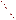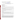# **Technical Factsheet on: ACRYLAMIDE**

[List of Contaminants](http://www.epa.gov/safewater/hfacts.html) 

 As part of the Drinking Water and Health pages, this fact sheet is part of a larger publication: **National Primary Drinking Water Regulations** 

## **Drinking Water Standards**

MCLG: zero mg/L MCL: Treatment Technique HAL(child): 1 day: 1.5 mg/L; 10-day: 0.3 mg/L

## **Health Effects Summary**

 at levels above the MCL: damage to central and peripheral nervous systems, weakness and ataxia in Acute: EPA has found acrylamide to potentially cause the following health effects from acute exposures legs.

 a 7-year exposure to 0.002 mg/L. Drinking water levels which are considered "safe" for short-term exposures: For a 10-kg (22 lb.) child consuming 1 liter of water per day: a one-day exposure of 1.5 mg/L; a ten-day exposure to 0.3 mg/L; upto

 levels above the MCL: damage to central and peripheral nervous systems, paralysis. Chronic: Acrylamide has the potential to cause the following health effects from long-term exposures at

Cancer: There is some evidence that acrylamide may have the potential to cause cancer from a lifetime exposure at levels above the MCL.

## **Usage Patterns**

Demand for acrylamide was projected to increase slightly: from 110 million lbs. in 1987 to 120 million lbs in 1992 (projected). In 1987 it was estimated that industries consumed it as follows: Water treatment, 45%; oil drilling, 20%; pulp and paper, 20%; mineral processing, 10%; other, 5%.

The greatest use of acrylamide is as a flocculant in the treatment of sewage, waste and drinking water.

Other uses of acrylamide include: an intermediate in the production of organic chemicals; synthesis of dyes, in the sizing of paper and textiles; in ore processing; in the construction of dam foundations and tunnels.

## **Release Patterns**

Acrylamide may be released into wastewater during its production and use in the synthesis of dyes, manufacture of polymers, adhesives, paper, paperboard and textile additive, soil-conditioning agents, ore processing, oil recovery, and permanent press fabrics, and in the manufacture of polyacrylamides for use as a flocculating agent for water treatment. The latter is the largest end use, being employed in processing mineral ores as well as treating waste water and drinking water. Improvements in the polymerization process has reduced the monomer content of these polymers from 5% to 0.3%. Other sources of release to water is from acrylamide-based sewer grouting and recycling of waste paper.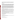From 1987 to 1993, according to EPA's Toxic Chemical Release Inventory, acrylamide releases to land and water totalled over 40,000 lbs., of which about 85 percent was to water. These releases were primarily from plastics industries which use acrylamide as a monomer. The largest releases occurred in Michigan.

## **Environmental Fate**

 filtered river water in 4 to 12 days. Adsorption to sediment should not be significant. If released on land, occurred in 14 days in 3 soils and 79 to 80% degradation occurred in 6 days in the other two soils. Acrylamide degrades rapidly with acclimation in biodegradability screening tests. Acrylamide degraded in acrylamide would be expected to leach readily into the ground and biodegrade within a few weeks based on experimental data. In 5 surface soils that were moistened to field capacity, 74-94% degradation

 In order to access the efficiency of sewage works in removing acrylamide, two sewage works were dosed settling. However 50 to 70% was lost in the activated sludge plants. Further studies showed that high loss degradation is unlikely to affect the level of acrylamide in river water for several hours, and possibly days, for four times longer than the residence time. Little loss of acrylamide occured during initial or final rates required high microbial activity or, in particular, contact with surfaces of high microbial activity. Studies of the river into which the sewage works discharged its effluents suggest that microbial even in a river into which acrylamide is continually discharged. Degradation was however, more marked in the summer.

 In the atmosphere, the vapor phase chemical should react with photochemically produced hydroxyl radicals (half-life 6.6 hr) and be washed out by rain.

 found the BCF in the carcass and viscera was 0.86 and 1.12, respectively, indicating that no appreciable Bioconcentration in fish is not significant. Uptake of acrylamide was studied in fingerling trout for 72 hr bioaccumulation had occurred. The uptake was rapid in the first 24 hr and then leveling off to a plateau after 72 hr. When the fish were transferred to fresh water, levels of acrylamide declined to 75% of the initial concn after 96 hr.

 coagulant may not cause serious problems for human health. In another report, the rate of accumulation of acrylamide monomer in fish was about 0.8 times the concentration in the rearing water (10 ppm) at day 40. The accumulation of acrylamide monomer in fish from polymer was nondetectable. Therefore, it is concluded that the use of acrylamide polymer as a

 Human exposure will be primarily occupational via dermal contact and inhalation, although exposure to the general public has resulted from the leaching of the acrylamide monomer from polyacyrlamide flocculants used in water treatment.

#### **Chemical/Physical Properties**

CAS Number: 79-06-1

Color/ Form/Odor: White odorless flake-like crystals derived from benzene. Available in powder form or as an aqueous solution of 50% acrylamide monomer.

M.P.: 84.5 C B.P.: 125 C

Vapor Pressure: 0.007 mm Hg at 20 C

Octanol/Water Partition (Kow): Log Kow = -0.67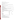Density/Spec. Grav.: 1.122 at 30 C

Solubility: 2.2 kg/L of water at 25 C; Extremely soluble in water

Soil sorption coefficient: N/A; High mobility in soil

Odor/Taste Thresholds: N/A

Bioconcentration Factor: BCFs of 0.86 to 1.12 in fish; not expected to bioconcentrate in aquatic organisms.

Henry's Law Coefficient: 3.2x10-10 atm-cu m/mole;

 Acrylagel, Optimum Trade Names/Synonyms: 2-Propenamide, Acrylic amide, Ethylenecarboxamide, Amresco Acryl-40,

# **Other Regulatory Information**

Monitoring and Analysis:

 requiring use of a treatment technique to limit its use by drinking water systems. No analytical methods are available so monitoring is not required. This contaminant is being regulated by

# **Treatment/Best Available Technology:**

Treatment technique:

 When acrylamide is used in drinking water systems, the combination of dose and monomer level may not exceed the following level: 0.05 % dosed at 1 mg/L

# **Toxic Release Inventory - Releases to Water and Land, 1987 to 1993 (in pounds):**

|                           | Water  | Land  |
|---------------------------|--------|-------|
| <b>TOTALS (in pounds)</b> | 36,287 | 5,818 |
| Top Five States*          |        |       |
| MI                        | 12,200 | 0     |
| WA                        | 8,000  | 0     |
| СT                        | 5,690  | 0     |
| LA                        | 4,367  | 500   |
| PA                        | 2,505  | 20    |
| AL                        | 1,262  | 1,258 |
| Major Industries*         |        |       |
| Plastics and resins       | 19,002 | 2,177 |
| Pulp mills                | 8,000  | 0     |
| Indust. organics          | 3,107  | 2,200 |
| Indust. inorganics        | 2,510  | 500   |
|                           |        |       |

\* Water/Land totals only include facilities with releases greater 100 lbs.

# **For Additional Information:**

 EPA Safe Drinking Water Hotline - 800/426-4791 EPA can provide further regulatory or other general information:

Other sources of toxicological and environmental fate data include: Toxic Substance Control Act Information Line - 202/554-1404